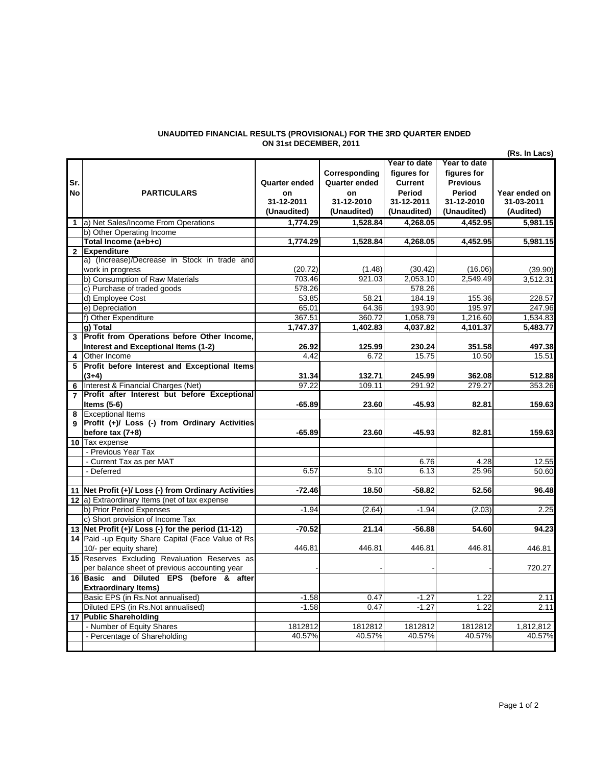## **UNAUDITED FINANCIAL RESULTS (PROVISIONAL) FOR THE 3RD QUARTER ENDED ON 31st DECEMBER, 2011**

|                |                                                      |                      |                      |                     |                 | (Rs. In Lacs)       |
|----------------|------------------------------------------------------|----------------------|----------------------|---------------------|-----------------|---------------------|
|                |                                                      |                      |                      | Year to date        | Year to date    |                     |
|                |                                                      |                      | Corresponding        | figures for         | figures for     |                     |
| Sr.            |                                                      | <b>Quarter ended</b> | <b>Quarter ended</b> | <b>Current</b>      | <b>Previous</b> |                     |
| <b>No</b>      | <b>PARTICULARS</b>                                   | on                   | on                   | Period              | Period          | Year ended on       |
|                |                                                      | 31-12-2011           | 31-12-2010           | 31-12-2011          | 31-12-2010      | 31-03-2011          |
|                |                                                      | (Unaudited)          | (Unaudited)          | (Unaudited)         | (Unaudited)     | (Audited)           |
| $\mathbf{1}$   | a) Net Sales/Income From Operations                  | 1.774.29             | 1.528.84             | 4.268.05            | 4.452.95        | 5,981.15            |
|                | b) Other Operating Income                            |                      |                      |                     |                 |                     |
|                | Total Income (a+b+c)                                 | 1.774.29             | 1.528.84             | 4.268.05            | 4.452.95        | 5.981.15            |
| 2 <sup>1</sup> | <b>Expenditure</b>                                   |                      |                      |                     |                 |                     |
|                | a) (Increase)/Decrease in Stock in trade and         | (20.72)              | (1.48)               |                     | (16.06)         |                     |
|                | work in progress<br>b) Consumption of Raw Materials  | 703.46               | 921.03               | (30.42)<br>2,053.10 | 2.549.49        | (39.90)<br>3,512.31 |
|                | c) Purchase of traded goods                          | 578.26               |                      | 578.26              |                 |                     |
|                | d) Employee Cost                                     | 53.85                | 58.21                | 184.19              | 155.36          | 228.57              |
|                | e) Depreciation                                      | 65.01                | 64.36                | 193.90              | 195.97          | 247.96              |
|                | f) Other Expenditure                                 | 367.51               | 360.72               | 1,058.79            | 1,216.60        | 1,534.83            |
|                | g) Total                                             | 1,747.37             | 1,402.83             | 4,037.82            | 4,101.37        | 5,483.77            |
|                | 3 Profit from Operations before Other Income,        |                      |                      |                     |                 |                     |
|                | Interest and Exceptional Items (1-2)                 | 26.92                | 125.99               | 230.24              | 351.58          | 497.38              |
| 4              | Other Income                                         | 4.42                 | 6.72                 | 15.75               | 10.50           | 15.51               |
| 5              | Profit before Interest and Exceptional Items         |                      |                      |                     |                 |                     |
|                | $(3+4)$                                              | 31.34                | 132.71               | 245.99              | 362.08          | 512.88              |
| 6              | Interest & Financial Charges (Net)                   | 97.22                | 109.11               | 291.92              | 279.27          | 353.26              |
|                | Profit after Interest but before Exceptional         |                      |                      |                     |                 |                     |
|                | Items $(5-6)$                                        | $-65.89$             | 23.60                | $-45.93$            | 82.81           | 159.63              |
| 8              | <b>Exceptional Items</b>                             |                      |                      |                     |                 |                     |
| 9              | Profit (+)/ Loss (-) from Ordinary Activities        |                      |                      |                     |                 |                     |
|                | before tax $(7+8)$                                   | $-65.89$             | 23.60                | $-45.93$            | 82.81           | 159.63              |
|                | 10 Tax expense                                       |                      |                      |                     |                 |                     |
|                | - Previous Year Tax                                  |                      |                      |                     |                 |                     |
|                | - Current Tax as per MAT                             |                      |                      | 6.76                | 4.28            | 12.55               |
|                | - Deferred                                           | 6.57                 | 5.10                 | 6.13                | 25.96           | 50.60               |
|                |                                                      |                      |                      |                     |                 |                     |
|                | 11 Net Profit (+)/ Loss (-) from Ordinary Activities | $-72.46$             | 18.50                | $-58.82$            | 52.56           | 96.48               |
|                | 12 a) Extraordinary Items (net of tax expense        |                      |                      |                     |                 |                     |
|                | b) Prior Period Expenses                             | $-1.94$              | (2.64)               | $-1.94$             | (2.03)          | 2.25                |
|                | c) Short provision of Income Tax                     |                      |                      |                     |                 |                     |
|                | 13 Net Profit (+)/ Loss (-) for the period (11-12)   | $-70.52$             | 21.14                | $-56.88$            | 54.60           | 94.23               |
|                | 14 Paid -up Equity Share Capital (Face Value of Rs   |                      |                      |                     |                 |                     |
|                | 10/- per equity share)                               | 446.81               | 446.81               | 446.81              | 446.81          | 446.81              |
|                | 15 Reserves Excluding Revaluation Reserves as        |                      |                      |                     |                 |                     |
|                | per balance sheet of previous accounting year        |                      |                      |                     |                 | 720.27              |
|                | 16 Basic and Diluted EPS (before & after             |                      |                      |                     |                 |                     |
|                | <b>Extraordinary Items)</b>                          |                      |                      |                     |                 |                     |
|                | Basic EPS (in Rs.Not annualised)                     | $-1.58$              | 0.47                 | $-1.27$             | 1.22            | 2.11                |
|                | Diluted EPS (in Rs.Not annualised)                   | $-1.58$              | 0.47                 | $-1.27$             | 1.22            | 2.11                |
|                | 17 Public Shareholding                               |                      |                      |                     |                 |                     |
|                | - Number of Equity Shares                            | 1812812              | 1812812              | 1812812             | 1812812         | 1,812,812           |
|                | - Percentage of Shareholding                         | 40.57%               | 40.57%               | 40.57%              | 40.57%          | 40.57%              |
|                |                                                      |                      |                      |                     |                 |                     |